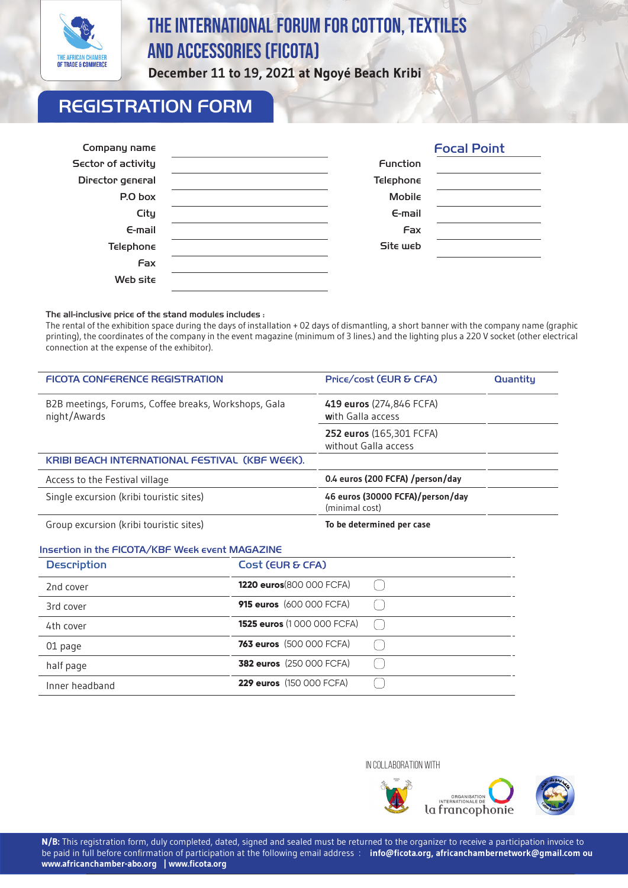

# The International Forum FOR Cotton, Textiles and accessories (FICOTA)

**December 11 to 19, 2021 at Ngoyé Beach Kribi**

# REGISTRATION FORM

| Company name              |                  | <b>Focal Point</b> |
|---------------------------|------------------|--------------------|
| <b>Sector of activity</b> | <b>Function</b>  |                    |
| Director general          | <b>Telephone</b> |                    |
| P.O box                   | <b>Mobile</b>    |                    |
| City                      | $E$ -mail        |                    |
| $E$ -mail                 | Fax              |                    |
| <b>Telephone</b>          | Site web         |                    |
| Fax                       |                  |                    |
| Web site                  |                  |                    |

#### The all-inclusive price of the stand modules includes :

The rental of the exhibition space during the days of installation + 02 days of dismantling, a short banner with the company name (graphic printing), the coordinates of the company in the event magazine (minimum of 3 lines.) and the lighting plus a 220 V socket (other electrical connection at the expense of the exhibitor).

| <b>FICOTA CONFERENCE REGISTRATION</b>                                | Price/cost (EUR & CFA)                             | Quantitu |
|----------------------------------------------------------------------|----------------------------------------------------|----------|
| B2B meetings, Forums, Coffee breaks, Workshops, Gala<br>night/Awards | 419 euros (274,846 FCFA)<br>with Galla access      |          |
|                                                                      | 252 euros (165,301 FCFA)<br>without Galla access   |          |
| KRIBI BEACH INTERNATIONAL FESTIVAL (KBF WEEK).                       |                                                    |          |
| Access to the Festival village                                       | 0.4 euros (200 FCFA) /person/day                   |          |
| Single excursion (kribi touristic sites)                             | 46 euros (30000 FCFA)/person/day<br>(minimal cost) |          |
| Group excursion (kribi touristic sites)                              | To be determined per case                          |          |

#### Insertion in the FICOTA/KBF Week event MAGAZINE

,

| <b>Description</b> | Cost (EUR & CFA)                |  |
|--------------------|---------------------------------|--|
| 2nd cover          | 1220 euros (800 000 FCFA)       |  |
| 3rd cover          | <b>915 euros</b> (600 000 FCFA) |  |
| 4th cover          | 1525 euros (1000 000 FCFA)      |  |
| 01 page            | <b>763 euros</b> (500 000 FCFA) |  |
| half page          | <b>382 euros</b> (250 000 FCFA) |  |
| Inner headband     | <b>229 euros</b> (150 000 FCFA) |  |

IN COLLABORATION WITH